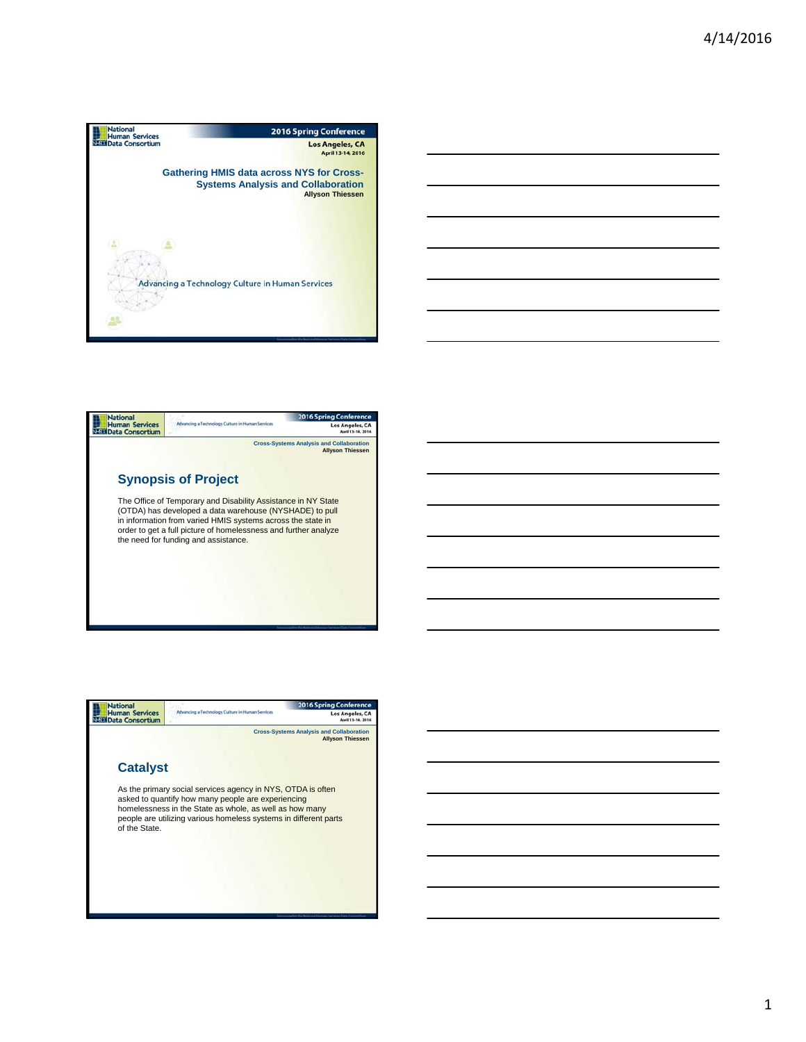





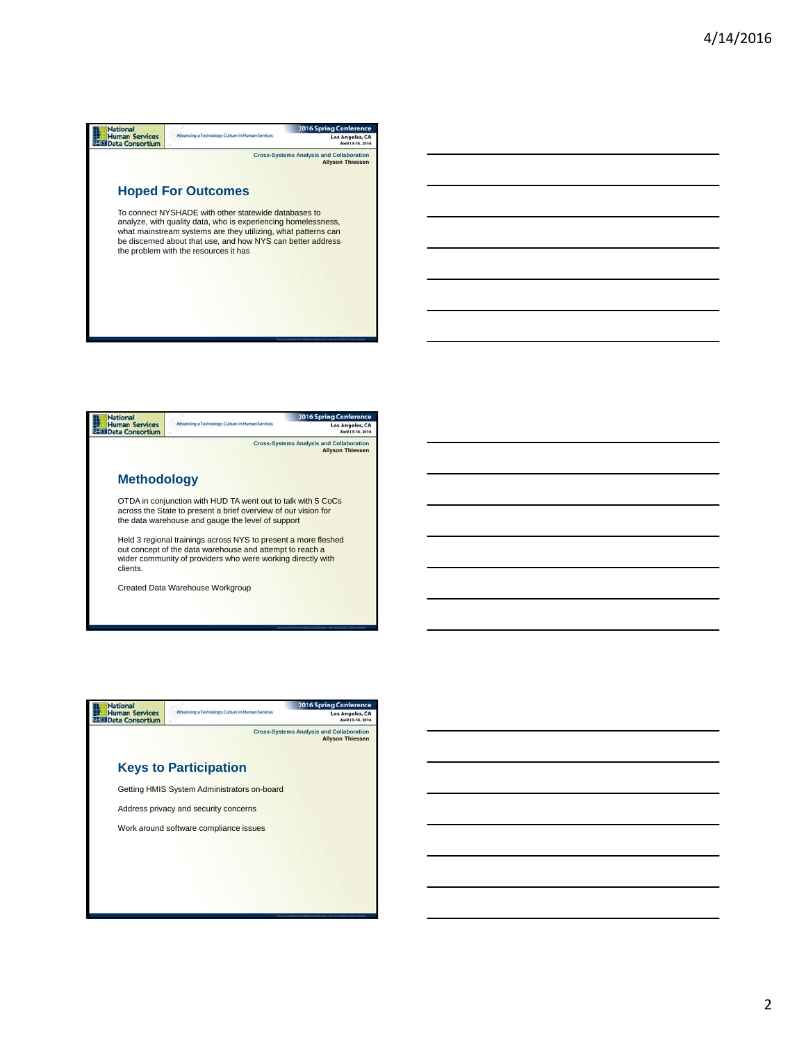





2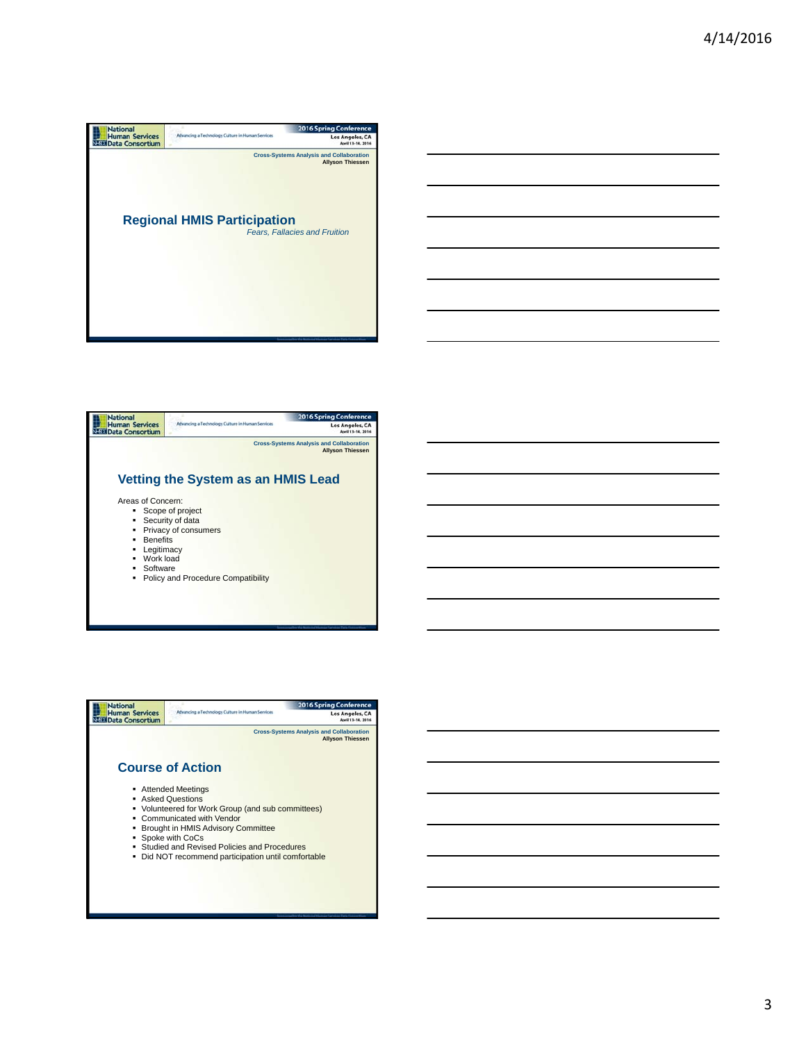





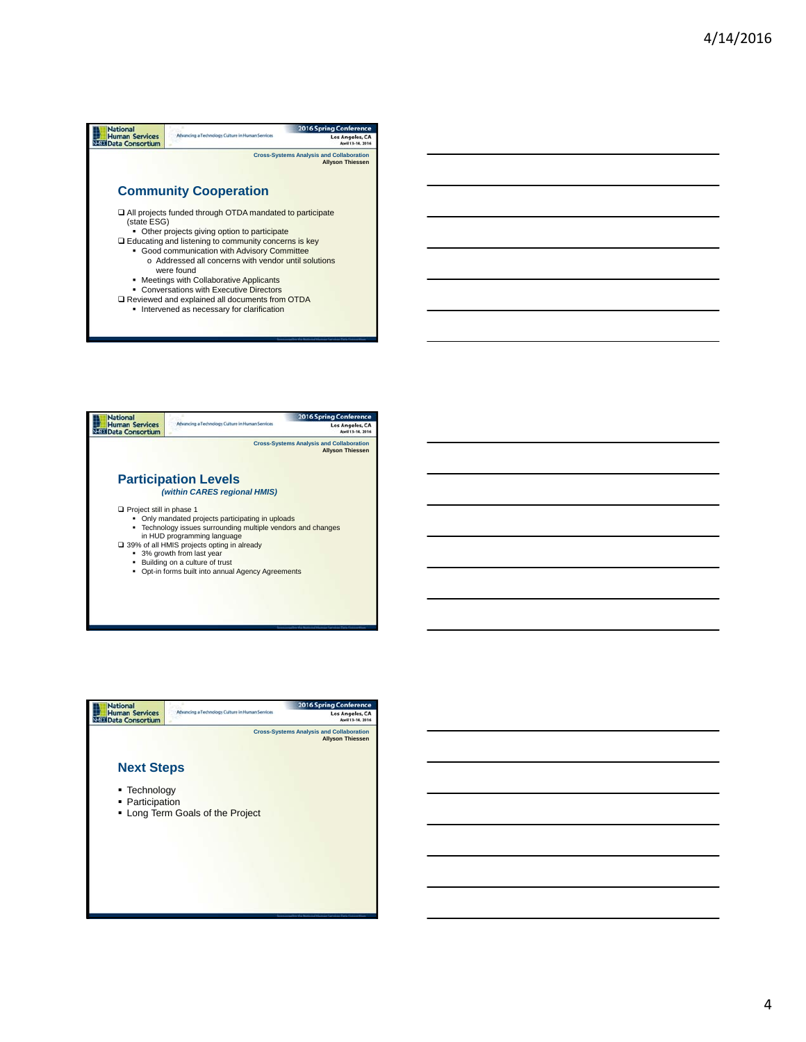## **Mational**<br>
Human Services<br>
SEE Data Consortium 2016 Spring Confe Advancing a Technology Culture in Human Ser Los Angeles, CA **Cross-Systems Analysis and Collaboration Allyson Thiessen Community Cooperation** All projects funded through OTDA mandated to participate (state ESG) • Other projects giving option to participate Educating and listening to community concerns is key Good communication with Advisory Committee o Addressed all concerns with vendor until solutions were found ■ Meetings with Collaborative Applicants<br>
■ Conversations with Executive Directors<br>
■ Reviewed and explained all documents from OTDA

**Intervened as necessary for clarification**